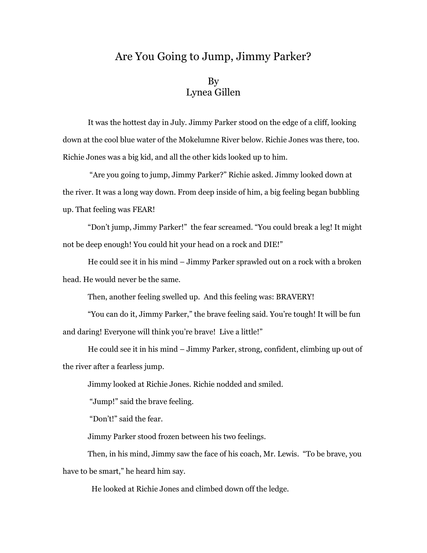## Are You Going to Jump, Jimmy Parker?

## By Lynea Gillen

It was the hottest day in July. Jimmy Parker stood on the edge of a cliff, looking down at the cool blue water of the Mokelumne River below. Richie Jones was there, too. Richie Jones was a big kid, and all the other kids looked up to him.

 "Are you going to jump, Jimmy Parker?" Richie asked. Jimmy looked down at the river. It was a long way down. From deep inside of him, a big feeling began bubbling up. That feeling was FEAR!

"Don't jump, Jimmy Parker!" the fear screamed. "You could break a leg! It might not be deep enough! You could hit your head on a rock and DIE!"

He could see it in his mind – Jimmy Parker sprawled out on a rock with a broken head. He would never be the same.

Then, another feeling swelled up. And this feeling was: BRAVERY!

"You can do it, Jimmy Parker," the brave feeling said. You're tough! It will be fun and daring! Everyone will think you're brave! Live a little!"

He could see it in his mind – Jimmy Parker, strong, confident, climbing up out of the river after a fearless jump.

Jimmy looked at Richie Jones. Richie nodded and smiled.

"Jump!" said the brave feeling.

"Don't!" said the fear.

Jimmy Parker stood frozen between his two feelings.

 Then, in his mind, Jimmy saw the face of his coach, Mr. Lewis. "To be brave, you have to be smart," he heard him say.

He looked at Richie Jones and climbed down off the ledge.